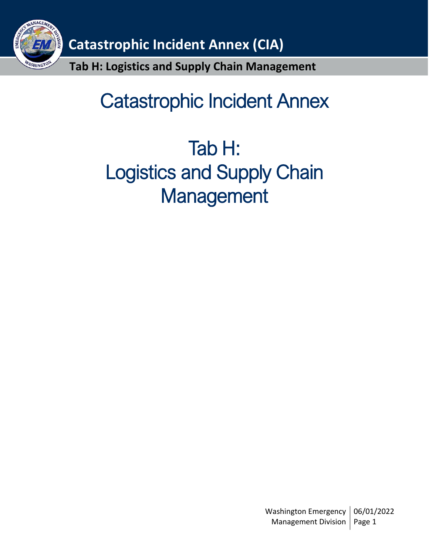

# Catastrophic Incident Annex

# Tab H: Logistics and Supply Chain **Management**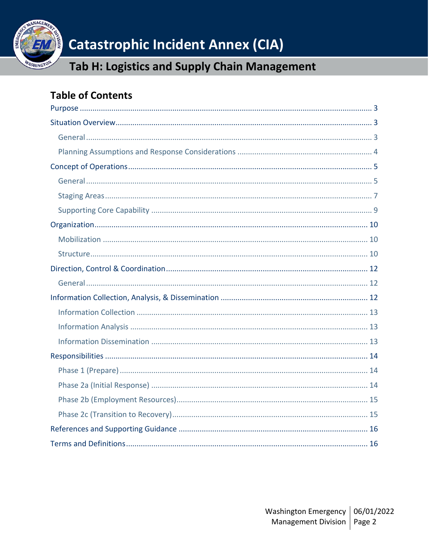

# **Catastrophic Incident Annex (CIA)**

# Tab H: Logistics and Supply Chain Management

# **Table of Contents**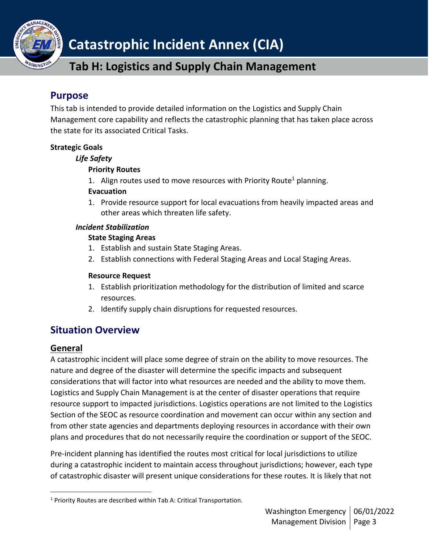

# **Catastrophic Incident Annex (CIA)**

# **Tab H: Logistics and Supply Chain Management**

## <span id="page-2-0"></span>**Purpose**

This tab is intended to provide detailed information on the Logistics and Supply Chain Management core capability and reflects the catastrophic planning that has taken place across the state for its associated Critical Tasks.

### **Strategic Goals**

#### *Life Safety*

### **Priority Routes**

1. Align routes used to move resources with Priority Route<sup>1</sup> planning.

#### **Evacuation**

1. Provide resource support for local evacuations from heavily impacted areas and other areas which threaten life safety.

#### *Incident Stabilization*

#### **State Staging Areas**

- 1. Establish and sustain State Staging Areas.
- 2. Establish connections with Federal Staging Areas and Local Staging Areas.

#### **Resource Request**

- 1. Establish prioritization methodology for the distribution of limited and scarce resources.
- 2. Identify supply chain disruptions for requested resources.

## <span id="page-2-1"></span>**Situation Overview**

## <span id="page-2-2"></span>**General**

A catastrophic incident will place some degree of strain on the ability to move resources. The nature and degree of the disaster will determine the specific impacts and subsequent considerations that will factor into what resources are needed and the ability to move them. Logistics and Supply Chain Management is at the center of disaster operations that require resource support to impacted jurisdictions. Logistics operations are not limited to the Logistics Section of the SEOC as resource coordination and movement can occur within any section and from other state agencies and departments deploying resources in accordance with their own plans and procedures that do not necessarily require the coordination or support of the SEOC.

Pre-incident planning has identified the routes most critical for local jurisdictions to utilize during a catastrophic incident to maintain access throughout jurisdictions; however, each type of catastrophic disaster will present unique considerations for these routes. It is likely that not

<sup>&</sup>lt;sup>1</sup> Priority Routes are described within Tab A: Critical Transportation.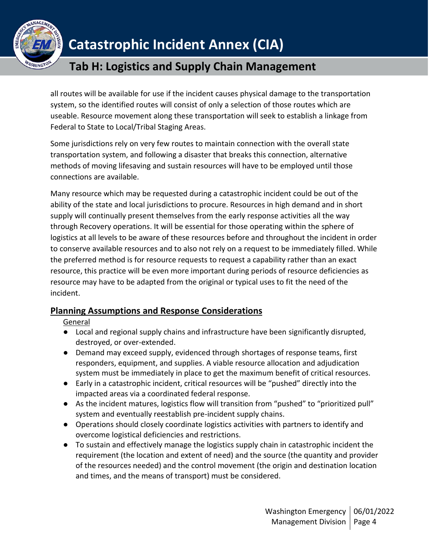

all routes will be available for use if the incident causes physical damage to the transportation system, so the identified routes will consist of only a selection of those routes which are useable. Resource movement along these transportation will seek to establish a linkage from Federal to State to Local/Tribal Staging Areas.

Some jurisdictions rely on very few routes to maintain connection with the overall state transportation system, and following a disaster that breaks this connection, alternative methods of moving lifesaving and sustain resources will have to be employed until those connections are available.

Many resource which may be requested during a catastrophic incident could be out of the ability of the state and local jurisdictions to procure. Resources in high demand and in short supply will continually present themselves from the early response activities all the way through Recovery operations. It will be essential for those operating within the sphere of logistics at all levels to be aware of these resources before and throughout the incident in order to conserve available resources and to also not rely on a request to be immediately filled. While the preferred method is for resource requests to request a capability rather than an exact resource, this practice will be even more important during periods of resource deficiencies as resource may have to be adapted from the original or typical uses to fit the need of the incident.

## <span id="page-3-0"></span>**Planning Assumptions and Response Considerations**

### General

- Local and regional supply chains and infrastructure have been significantly disrupted, destroyed, or over-extended.
- Demand may exceed supply, evidenced through shortages of response teams, first responders, equipment, and supplies. A viable resource allocation and adjudication system must be immediately in place to get the maximum benefit of critical resources.
- Early in a catastrophic incident, critical resources will be "pushed" directly into the impacted areas via a coordinated federal response.
- As the incident matures, logistics flow will transition from "pushed" to "prioritized pull" system and eventually reestablish pre-incident supply chains.
- Operations should closely coordinate logistics activities with partners to identify and overcome logistical deficiencies and restrictions.
- To sustain and effectively manage the logistics supply chain in catastrophic incident the requirement (the location and extent of need) and the source (the quantity and provider of the resources needed) and the control movement (the origin and destination location and times, and the means of transport) must be considered.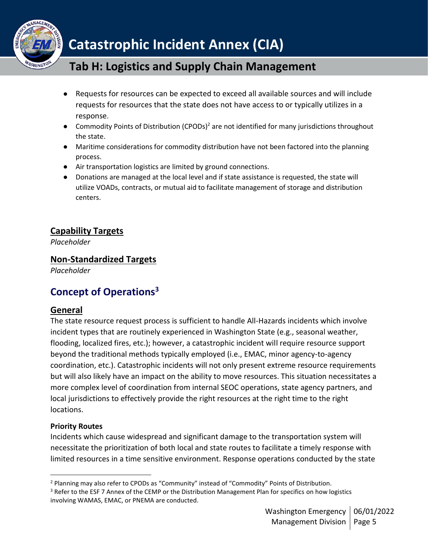

- Requests for resources can be expected to exceed all available sources and will include requests for resources that the state does not have access to or typically utilizes in a response.
- Commodity Points of Distribution (CPODs)<sup>2</sup> are not identified for many jurisdictions throughout the state.
- Maritime considerations for commodity distribution have not been factored into the planning process.
- Air transportation logistics are limited by ground connections.
- Donations are managed at the local level and if state assistance is requested, the state will utilize VOADs, contracts, or mutual aid to facilitate management of storage and distribution centers.

## **Capability Targets**

*Placeholder*

## **Non-Standardized Targets**

*Placeholder*

# <span id="page-4-0"></span>**Concept of Operations<sup>3</sup>**

## <span id="page-4-1"></span>**General**

The state resource request process is sufficient to handle All-Hazards incidents which involve incident types that are routinely experienced in Washington State (e.g., seasonal weather, flooding, localized fires, etc.); however, a catastrophic incident will require resource support beyond the traditional methods typically employed (i.e., EMAC, minor agency-to-agency coordination, etc.). Catastrophic incidents will not only present extreme resource requirements but will also likely have an impact on the ability to move resources. This situation necessitates a more complex level of coordination from internal SEOC operations, state agency partners, and local jurisdictions to effectively provide the right resources at the right time to the right locations.

### **Priority Routes**

Incidents which cause widespread and significant damage to the transportation system will necessitate the prioritization of both local and state routes to facilitate a timely response with limited resources in a time sensitive environment. Response operations conducted by the state

<sup>2</sup> Planning may also refer to CPODs as "Community" instead of "Commodity" Points of Distribution.

<sup>&</sup>lt;sup>3</sup> Refer to the ESF 7 Annex of the CEMP or the Distribution Management Plan for specifics on how logistics involving WAMAS, EMAC, or PNEMA are conducted.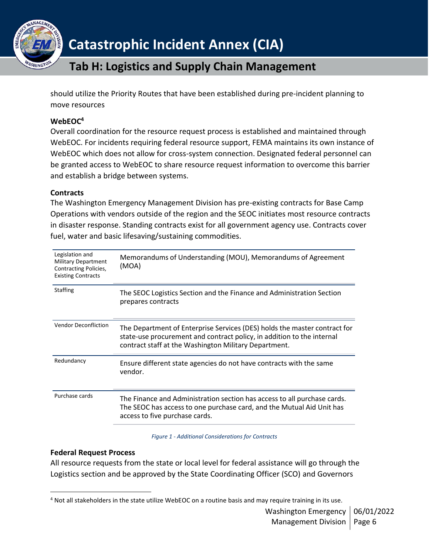

should utilize the Priority Routes that have been established during pre-incident planning to move resources

#### **WebEOC<sup>4</sup>**

Overall coordination for the resource request process is established and maintained through WebEOC. For incidents requiring federal resource support, FEMA maintains its own instance of WebEOC which does not allow for cross-system connection. Designated federal personnel can be granted access to WebEOC to share resource request information to overcome this barrier and establish a bridge between systems.

#### **Contracts**

The Washington Emergency Management Division has pre-existing contracts for Base Camp Operations with vendors outside of the region and the SEOC initiates most resource contracts in disaster response. Standing contracts exist for all government agency use. Contracts cover fuel, water and basic lifesaving/sustaining commodities.

| Legislation and<br><b>Military Department</b><br><b>Contracting Policies,</b><br><b>Existing Contracts</b> | Memorandums of Understanding (MOU), Memorandums of Agreement<br>(MOA)                                                                                                                                        |
|------------------------------------------------------------------------------------------------------------|--------------------------------------------------------------------------------------------------------------------------------------------------------------------------------------------------------------|
| <b>Staffing</b>                                                                                            | The SEOC Logistics Section and the Finance and Administration Section<br>prepares contracts                                                                                                                  |
| <b>Vendor Deconfliction</b>                                                                                | The Department of Enterprise Services (DES) holds the master contract for<br>state-use procurement and contract policy, in addition to the internal<br>contract staff at the Washington Military Department. |
| Redundancy                                                                                                 | Ensure different state agencies do not have contracts with the same<br>vendor.                                                                                                                               |
| Purchase cards                                                                                             | The Finance and Administration section has access to all purchase cards.<br>The SEOC has access to one purchase card, and the Mutual Aid Unit has<br>access to five purchase cards.                          |

*Figure 1 - Additional Considerations for Contracts*

#### **Federal Request Process**

All resource requests from the state or local level for federal assistance will go through the Logistics section and be approved by the State Coordinating Officer (SCO) and Governors

<sup>&</sup>lt;sup>4</sup> Not all stakeholders in the state utilize WebEOC on a routine basis and may require training in its use.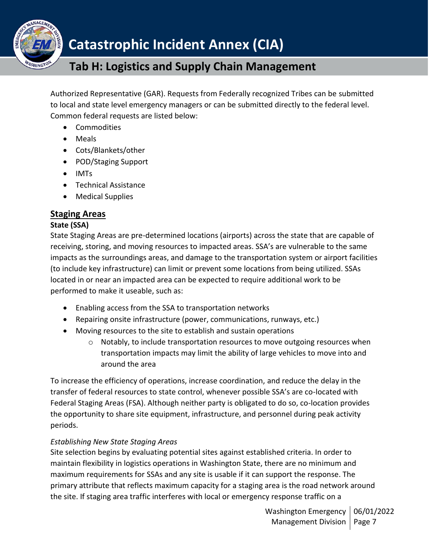

Authorized Representative (GAR). Requests from Federally recognized Tribes can be submitted to local and state level emergency managers or can be submitted directly to the federal level. Common federal requests are listed below:

- Commodities
- Meals
- Cots/Blankets/other
- POD/Staging Support
- IMTs
- Technical Assistance
- Medical Supplies

## <span id="page-6-0"></span>**Staging Areas**

#### **State (SSA)**

State Staging Areas are pre-determined locations (airports) across the state that are capable of receiving, storing, and moving resources to impacted areas. SSA's are vulnerable to the same impacts as the surroundings areas, and damage to the transportation system or airport facilities (to include key infrastructure) can limit or prevent some locations from being utilized. SSAs located in or near an impacted area can be expected to require additional work to be performed to make it useable, such as:

- Enabling access from the SSA to transportation networks
- Repairing onsite infrastructure (power, communications, runways, etc.)
- Moving resources to the site to establish and sustain operations
	- $\circ$  Notably, to include transportation resources to move outgoing resources when transportation impacts may limit the ability of large vehicles to move into and around the area

To increase the efficiency of operations, increase coordination, and reduce the delay in the transfer of federal resources to state control, whenever possible SSA's are co-located with Federal Staging Areas (FSA). Although neither party is obligated to do so, co-location provides the opportunity to share site equipment, infrastructure, and personnel during peak activity periods.

#### *Establishing New State Staging Areas*

Site selection begins by evaluating potential sites against established criteria. In order to maintain flexibility in logistics operations in Washington State, there are no minimum and maximum requirements for SSAs and any site is usable if it can support the response. The primary attribute that reflects maximum capacity for a staging area is the road network around the site. If staging area traffic interferes with local or emergency response traffic on a

> Washington Emergency | 06/01/2022 Management Division | Page 7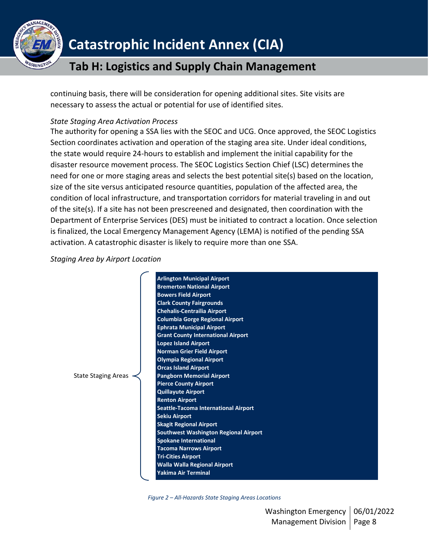

continuing basis, there will be consideration for opening additional sites. Site visits are necessary to assess the actual or potential for use of identified sites.

#### *State Staging Area Activation Process*

The authority for opening a SSA lies with the SEOC and UCG. Once approved, the SEOC Logistics Section coordinates activation and operation of the staging area site. Under ideal conditions, the state would require 24-hours to establish and implement the initial capability for the disaster resource movement process. The SEOC Logistics Section Chief (LSC) determines the need for one or more staging areas and selects the best potential site(s) based on the location, size of the site versus anticipated resource quantities, population of the affected area, the condition of local infrastructure, and transportation corridors for material traveling in and out of the site(s). If a site has not been prescreened and designated, then coordination with the Department of Enterprise Services (DES) must be initiated to contract a location. Once selection is finalized, the Local Emergency Management Agency (LEMA) is notified of the pending SSA activation. A catastrophic disaster is likely to require more than one SSA.

#### *Staging Area by Airport Location*

|                            | <b>Arlington Municipal Airport</b>           |
|----------------------------|----------------------------------------------|
|                            | <b>Bremerton National Airport</b>            |
|                            | <b>Bowers Field Airport</b>                  |
|                            | <b>Clark County Fairgrounds</b>              |
|                            | <b>Chehalis-Centrailia Airport</b>           |
|                            | <b>Columbia Gorge Regional Airport</b>       |
|                            | <b>Ephrata Municipal Airport</b>             |
|                            | <b>Grant County International Airport</b>    |
|                            | <b>Lopez Island Airport</b>                  |
|                            | <b>Norman Grier Field Airport</b>            |
|                            | <b>Olympia Regional Airport</b>              |
|                            | <b>Orcas Island Airport</b>                  |
| <b>State Staging Areas</b> | <b>Pangborn Memorial Airport</b>             |
|                            | <b>Pierce County Airport</b>                 |
|                            | <b>Quillayute Airport</b>                    |
|                            | <b>Renton Airport</b>                        |
|                            | Seattle-Tacoma International Airport         |
|                            | <b>Sekiu Airport</b>                         |
|                            | <b>Skagit Regional Airport</b>               |
|                            | <b>Southwest Washington Regional Airport</b> |
|                            | <b>Spokane International</b>                 |
|                            | <b>Tacoma Narrows Airport</b>                |
|                            | <b>Tri-Cities Airport</b>                    |
|                            | <b>Walla Walla Regional Airport</b>          |
|                            | Yakima Air Terminal                          |
|                            |                                              |

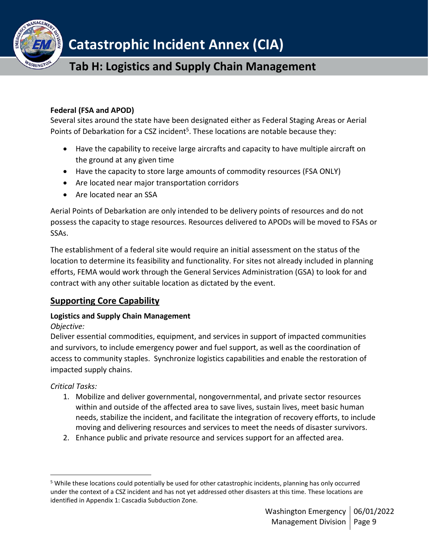

#### **Federal (FSA and APOD)**

Several sites around the state have been designated either as Federal Staging Areas or Aerial Points of Debarkation for a CSZ incident<sup>5</sup>. These locations are notable because they:

- Have the capability to receive large aircrafts and capacity to have multiple aircraft on the ground at any given time
- Have the capacity to store large amounts of commodity resources (FSA ONLY)
- Are located near major transportation corridors
- Are located near an SSA

Aerial Points of Debarkation are only intended to be delivery points of resources and do not possess the capacity to stage resources. Resources delivered to APODs will be moved to FSAs or SSAs.

The establishment of a federal site would require an initial assessment on the status of the location to determine its feasibility and functionality. For sites not already included in planning efforts, FEMA would work through the General Services Administration (GSA) to look for and contract with any other suitable location as dictated by the event.

## <span id="page-8-0"></span>**Supporting Core Capability**

### **Logistics and Supply Chain Management**

### *Objective:*

Deliver essential commodities, equipment, and services in support of impacted communities and survivors, to include emergency power and fuel support, as well as the coordination of access to community staples. Synchronize logistics capabilities and enable the restoration of impacted supply chains.

*Critical Tasks:*

- 1. Mobilize and deliver governmental, nongovernmental, and private sector resources within and outside of the affected area to save lives, sustain lives, meet basic human needs, stabilize the incident, and facilitate the integration of recovery efforts, to include moving and delivering resources and services to meet the needs of disaster survivors.
- 2. Enhance public and private resource and services support for an affected area.

<sup>5</sup> While these locations could potentially be used for other catastrophic incidents, planning has only occurred under the context of a CSZ incident and has not yet addressed other disasters at this time. These locations are identified in Appendix 1: Cascadia Subduction Zone.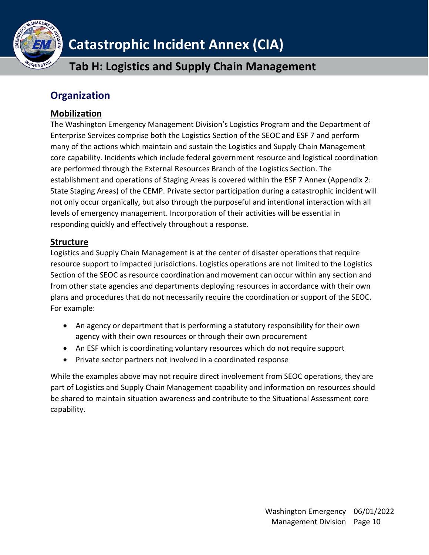

# <span id="page-9-0"></span>**Organization**

## <span id="page-9-1"></span>**Mobilization**

The Washington Emergency Management Division's Logistics Program and the Department of Enterprise Services comprise both the Logistics Section of the SEOC and ESF 7 and perform many of the actions which maintain and sustain the Logistics and Supply Chain Management core capability. Incidents which include federal government resource and logistical coordination are performed through the External Resources Branch of the Logistics Section. The establishment and operations of Staging Areas is covered within the ESF 7 Annex (Appendix 2: State Staging Areas) of the CEMP. Private sector participation during a catastrophic incident will not only occur organically, but also through the purposeful and intentional interaction with all levels of emergency management. Incorporation of their activities will be essential in responding quickly and effectively throughout a response.

## <span id="page-9-2"></span>**Structure**

Logistics and Supply Chain Management is at the center of disaster operations that require resource support to impacted jurisdictions. Logistics operations are not limited to the Logistics Section of the SEOC as resource coordination and movement can occur within any section and from other state agencies and departments deploying resources in accordance with their own plans and procedures that do not necessarily require the coordination or support of the SEOC. For example:

- An agency or department that is performing a statutory responsibility for their own agency with their own resources or through their own procurement
- An ESF which is coordinating voluntary resources which do not require support
- Private sector partners not involved in a coordinated response

While the examples above may not require direct involvement from SEOC operations, they are part of Logistics and Supply Chain Management capability and information on resources should be shared to maintain situation awareness and contribute to the Situational Assessment core capability.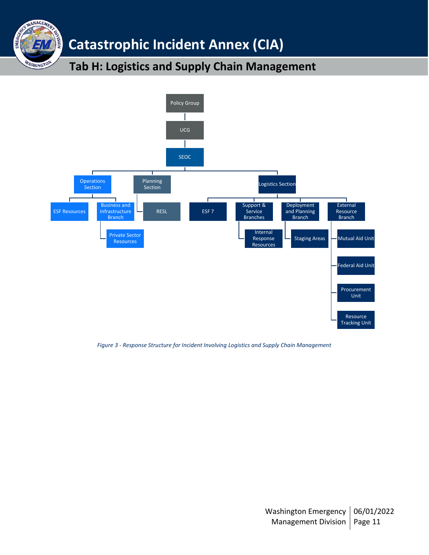**Catastrophic Incident Annex (CIA)**

V MANAGEMEN

WASHINGTON

EMER

**NOISIN** 

# **Tab H: Logistics and Supply Chain Management**



*Figure 3 - Response Structure for Incident Involving Logistics and Supply Chain Management*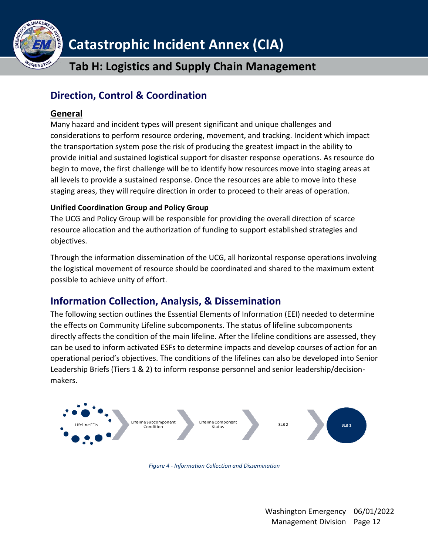

# <span id="page-11-0"></span>**Direction, Control & Coordination**

## <span id="page-11-1"></span>**General**

Many hazard and incident types will present significant and unique challenges and considerations to perform resource ordering, movement, and tracking. Incident which impact the transportation system pose the risk of producing the greatest impact in the ability to provide initial and sustained logistical support for disaster response operations. As resource do begin to move, the first challenge will be to identify how resources move into staging areas at all levels to provide a sustained response. Once the resources are able to move into these staging areas, they will require direction in order to proceed to their areas of operation.

## **Unified Coordination Group and Policy Group**

The UCG and Policy Group will be responsible for providing the overall direction of scarce resource allocation and the authorization of funding to support established strategies and objectives.

Through the information dissemination of the UCG, all horizontal response operations involving the logistical movement of resource should be coordinated and shared to the maximum extent possible to achieve unity of effort.

# <span id="page-11-2"></span>**Information Collection, Analysis, & Dissemination**

The following section outlines the Essential Elements of Information (EEI) needed to determine the effects on Community Lifeline subcomponents. The status of lifeline subcomponents directly affects the condition of the main lifeline. After the lifeline conditions are assessed, they can be used to inform activated ESFs to determine impacts and develop courses of action for an operational period's objectives. The conditions of the lifelines can also be developed into Senior Leadership Briefs (Tiers 1 & 2) to inform response personnel and senior leadership/decisionmakers.



*Figure 4 - Information Collection and Dissemination*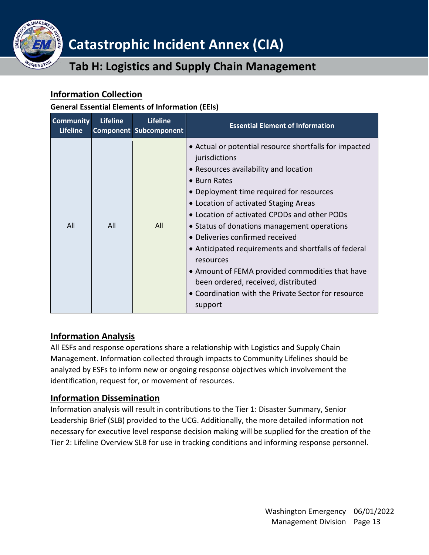

## <span id="page-12-0"></span>**Information Collection**

### **General Essential Elements of Information (EEIs)**

| <b>Community</b><br><b>Lifeline</b> | <b>Lifeline</b> | <b>Lifeline</b><br><b>Component Subcomponent</b> | <b>Essential Element of Information</b>                                                                                                                                                                                                                                                                                                                                                                                                                                                                                                                                                  |
|-------------------------------------|-----------------|--------------------------------------------------|------------------------------------------------------------------------------------------------------------------------------------------------------------------------------------------------------------------------------------------------------------------------------------------------------------------------------------------------------------------------------------------------------------------------------------------------------------------------------------------------------------------------------------------------------------------------------------------|
| All                                 | All             | All                                              | • Actual or potential resource shortfalls for impacted<br>jurisdictions<br>• Resources availability and location<br>• Burn Rates<br>• Deployment time required for resources<br>• Location of activated Staging Areas<br>• Location of activated CPODs and other PODs<br>• Status of donations management operations<br>• Deliveries confirmed received<br>• Anticipated requirements and shortfalls of federal<br>resources<br>• Amount of FEMA provided commodities that have<br>been ordered, received, distributed<br>• Coordination with the Private Sector for resource<br>support |

## <span id="page-12-1"></span>**Information Analysis**

All ESFs and response operations share a relationship with Logistics and Supply Chain Management. Information collected through impacts to Community Lifelines should be analyzed by ESFs to inform new or ongoing response objectives which involvement the identification, request for, or movement of resources.

## <span id="page-12-2"></span>**Information Dissemination**

Information analysis will result in contributions to the Tier 1: Disaster Summary, Senior Leadership Brief (SLB) provided to the UCG. Additionally, the more detailed information not necessary for executive level response decision making will be supplied for the creation of the Tier 2: Lifeline Overview SLB for use in tracking conditions and informing response personnel.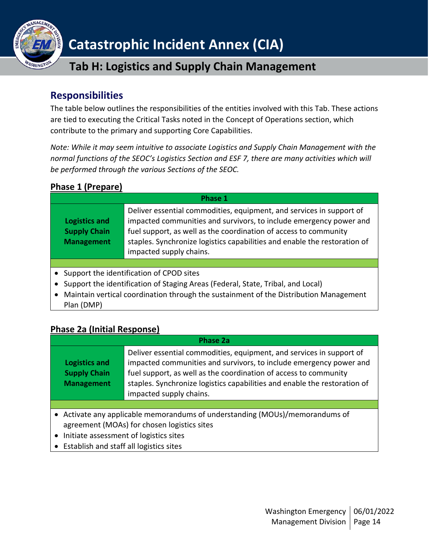

# <span id="page-13-0"></span>**Responsibilities**

The table below outlines the responsibilities of the entities involved with this Tab. These actions are tied to executing the Critical Tasks noted in the Concept of Operations section, which contribute to the primary and supporting Core Capabilities.

*Note: While it may seem intuitive to associate Logistics and Supply Chain Management with the normal functions of the SEOC's Logistics Section and ESF 7, there are many activities which will be performed through the various Sections of the SEOC.*

## <span id="page-13-1"></span>**Phase 1 (Prepare)**

| Phase 1                                                          |                                                                                                                                                                                                                                                                                                                        |  |
|------------------------------------------------------------------|------------------------------------------------------------------------------------------------------------------------------------------------------------------------------------------------------------------------------------------------------------------------------------------------------------------------|--|
| <b>Logistics and</b><br><b>Supply Chain</b><br><b>Management</b> | Deliver essential commodities, equipment, and services in support of<br>impacted communities and survivors, to include emergency power and<br>fuel support, as well as the coordination of access to community<br>staples. Synchronize logistics capabilities and enable the restoration of<br>impacted supply chains. |  |
|                                                                  |                                                                                                                                                                                                                                                                                                                        |  |
|                                                                  | Support the identification of CPOD sites                                                                                                                                                                                                                                                                               |  |

- Support the identification of Staging Areas (Federal, State, Tribal, and Local)
- Maintain vertical coordination through the sustainment of the Distribution Management Plan (DMP)

## <span id="page-13-2"></span>**Phase 2a (Initial Response)**

| Phase 2a                                                  |                                                                                                                                                                                                                                                                                                                        |  |
|-----------------------------------------------------------|------------------------------------------------------------------------------------------------------------------------------------------------------------------------------------------------------------------------------------------------------------------------------------------------------------------------|--|
| Logistics and<br><b>Supply Chain</b><br><b>Management</b> | Deliver essential commodities, equipment, and services in support of<br>impacted communities and survivors, to include emergency power and<br>fuel support, as well as the coordination of access to community<br>staples. Synchronize logistics capabilities and enable the restoration of<br>impacted supply chains. |  |
|                                                           |                                                                                                                                                                                                                                                                                                                        |  |
|                                                           | • Activate any applicable memorandums of understanding (MOUs)/memorandums of<br>agreement (MOAs) for chosen logistics sites                                                                                                                                                                                            |  |
| Initiate assessment of logistics sites<br>$\bullet$       |                                                                                                                                                                                                                                                                                                                        |  |
| Establish and staff all logistics sites<br>$\bullet$      |                                                                                                                                                                                                                                                                                                                        |  |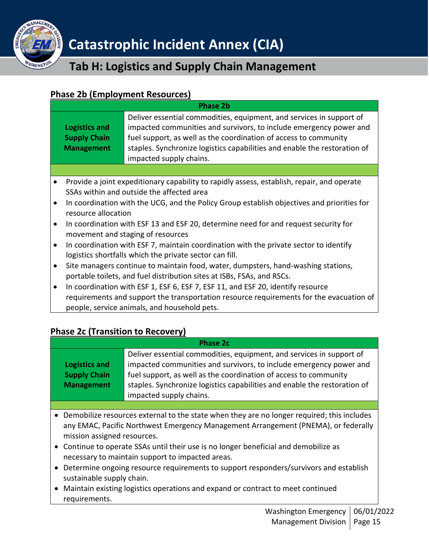

## <span id="page-14-0"></span>**Phase 2b (Employment Resources)**

| <b>Phase 2b</b>                                                                      |                                                                                                                                                                                                                                                                                                                                                                                                                                                                                                                                                                                                            |  |
|--------------------------------------------------------------------------------------|------------------------------------------------------------------------------------------------------------------------------------------------------------------------------------------------------------------------------------------------------------------------------------------------------------------------------------------------------------------------------------------------------------------------------------------------------------------------------------------------------------------------------------------------------------------------------------------------------------|--|
| <b>Logistics and</b><br><b>Supply Chain</b><br><b>Management</b>                     | Deliver essential commodities, equipment, and services in support of<br>impacted communities and survivors, to include emergency power and<br>fuel support, as well as the coordination of access to community<br>staples. Synchronize logistics capabilities and enable the restoration of<br>impacted supply chains.                                                                                                                                                                                                                                                                                     |  |
|                                                                                      |                                                                                                                                                                                                                                                                                                                                                                                                                                                                                                                                                                                                            |  |
| $\bullet$<br>$\bullet$<br>resource allocation<br>$\bullet$<br>$\bullet$<br>$\bullet$ | Provide a joint expeditionary capability to rapidly assess, establish, repair, and operate<br>SSAs within and outside the affected area<br>In coordination with the UCG, and the Policy Group establish objectives and priorities for<br>In coordination with ESF 13 and ESF 20, determine need for and request security for<br>movement and staging of resources<br>In coordination with ESF 7, maintain coordination with the private sector to identify<br>logistics shortfalls which the private sector can fill.<br>Site managers continue to maintain food, water, dumpsters, hand-washing stations, |  |
| portable toilets, and fuel distribution sites at ISBs, FSAs, and RSCs.               |                                                                                                                                                                                                                                                                                                                                                                                                                                                                                                                                                                                                            |  |

• In coordination with ESF 1, ESF 6, ESF 7, ESF 11, and ESF 20, identify resource requirements and support the transportation resource requirements for the evacuation of people, service animals, and household pets.

## <span id="page-14-1"></span>**Phase 2c (Transition to Recovery)**

| <b>Phase 2c</b>                                                  |                                                                                                                                                                                                                                                                                                                        |  |
|------------------------------------------------------------------|------------------------------------------------------------------------------------------------------------------------------------------------------------------------------------------------------------------------------------------------------------------------------------------------------------------------|--|
| <b>Logistics and</b><br><b>Supply Chain</b><br><b>Management</b> | Deliver essential commodities, equipment, and services in support of<br>impacted communities and survivors, to include emergency power and<br>fuel support, as well as the coordination of access to community<br>staples. Synchronize logistics capabilities and enable the restoration of<br>impacted supply chains. |  |
|                                                                  |                                                                                                                                                                                                                                                                                                                        |  |

- Demobilize resources external to the state when they are no longer required; this includes any EMAC, Pacific Northwest Emergency Management Arrangement (PNEMA), or federally mission assigned resources.
- Continue to operate SSAs until their use is no longer beneficial and demobilize as necessary to maintain support to impacted areas.
- Determine ongoing resource requirements to support responders/survivors and establish sustainable supply chain.
- Maintain existing logistics operations and expand or contract to meet continued requirements.